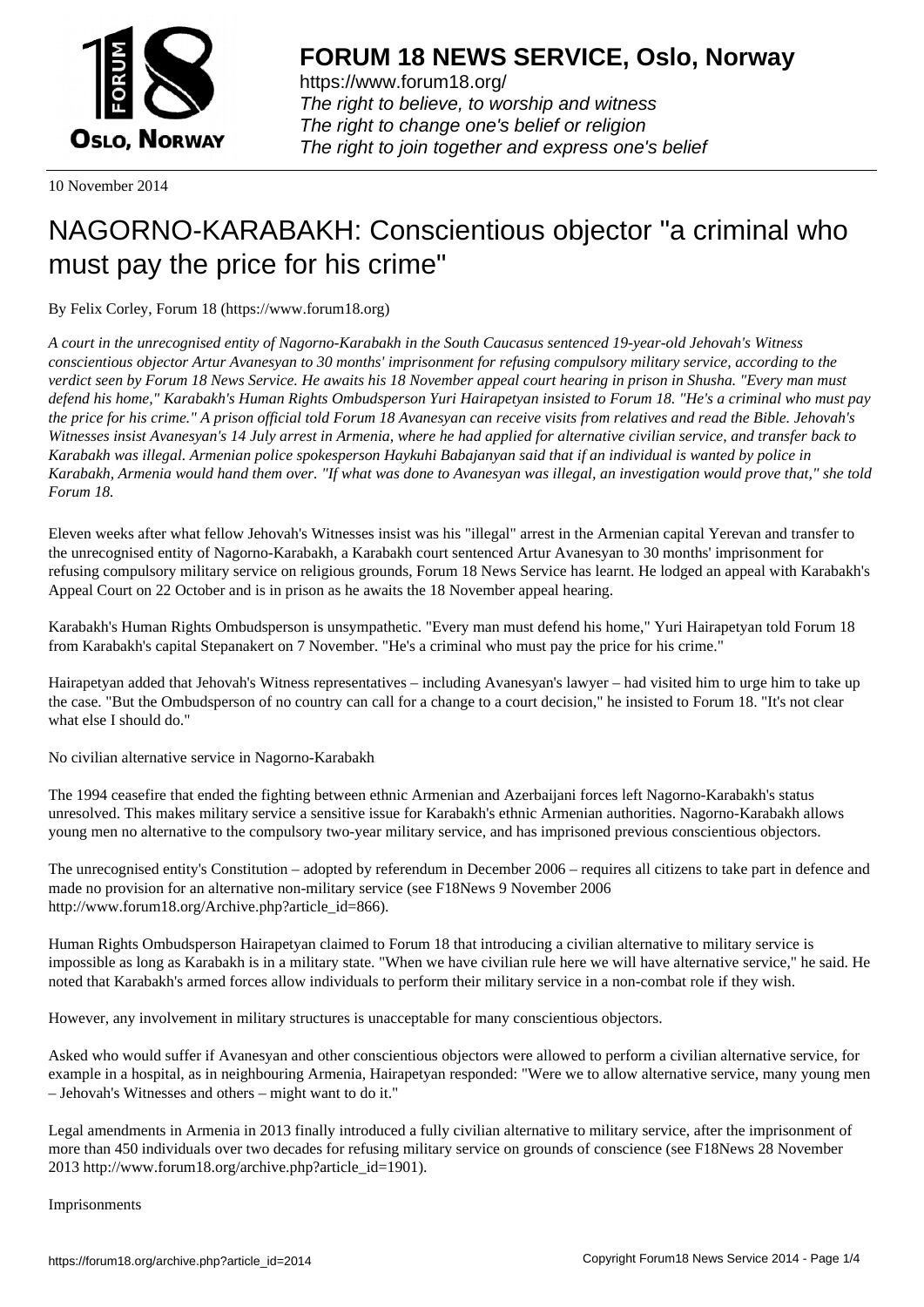

https://www.forum18.org/ The right to believe, to worship and witness The right to change one's belief or religion [The right to join together a](https://www.forum18.org/)nd express one's belief

10 November 2014

## [NAGORNO-KA](https://www.forum18.org)RABAKH: Conscientious objector "a criminal who must pay the price for his crime"

By Felix Corley, Forum 18 (https://www.forum18.org)

*A court in the unrecognised entity of Nagorno-Karabakh in the South Caucasus sentenced 19-year-old Jehovah's Witness conscientious objector Artur Avanesyan to 30 months' imprisonment for refusing compulsory military service, according to the verdict seen by Forum 18 News Service. He awaits his 18 November appeal court hearing in prison in Shusha. "Every man must defend his home," Karabakh's Human Rights Ombudsperson Yuri Hairapetyan insisted to Forum 18. "He's a criminal who must pay the price for his crime." A prison official told Forum 18 Avanesyan can receive visits from relatives and read the Bible. Jehovah's Witnesses insist Avanesyan's 14 July arrest in Armenia, where he had applied for alternative civilian service, and transfer back to Karabakh was illegal. Armenian police spokesperson Haykuhi Babajanyan said that if an individual is wanted by police in Karabakh, Armenia would hand them over. "If what was done to Avanesyan was illegal, an investigation would prove that," she told Forum 18.*

Eleven weeks after what fellow Jehovah's Witnesses insist was his "illegal" arrest in the Armenian capital Yerevan and transfer to the unrecognised entity of Nagorno-Karabakh, a Karabakh court sentenced Artur Avanesyan to 30 months' imprisonment for refusing compulsory military service on religious grounds, Forum 18 News Service has learnt. He lodged an appeal with Karabakh's Appeal Court on 22 October and is in prison as he awaits the 18 November appeal hearing.

Karabakh's Human Rights Ombudsperson is unsympathetic. "Every man must defend his home," Yuri Hairapetyan told Forum 18 from Karabakh's capital Stepanakert on 7 November. "He's a criminal who must pay the price for his crime."

Hairapetyan added that Jehovah's Witness representatives – including Avanesyan's lawyer – had visited him to urge him to take up the case. "But the Ombudsperson of no country can call for a change to a court decision," he insisted to Forum 18. "It's not clear what else I should do."

No civilian alternative service in Nagorno-Karabakh

The 1994 ceasefire that ended the fighting between ethnic Armenian and Azerbaijani forces left Nagorno-Karabakh's status unresolved. This makes military service a sensitive issue for Karabakh's ethnic Armenian authorities. Nagorno-Karabakh allows young men no alternative to the compulsory two-year military service, and has imprisoned previous conscientious objectors.

The unrecognised entity's Constitution – adopted by referendum in December 2006 – requires all citizens to take part in defence and made no provision for an alternative non-military service (see F18News 9 November 2006 http://www.forum18.org/Archive.php?article\_id=866).

Human Rights Ombudsperson Hairapetyan claimed to Forum 18 that introducing a civilian alternative to military service is impossible as long as Karabakh is in a military state. "When we have civilian rule here we will have alternative service," he said. He noted that Karabakh's armed forces allow individuals to perform their military service in a non-combat role if they wish.

However, any involvement in military structures is unacceptable for many conscientious objectors.

Asked who would suffer if Avanesyan and other conscientious objectors were allowed to perform a civilian alternative service, for example in a hospital, as in neighbouring Armenia, Hairapetyan responded: "Were we to allow alternative service, many young men – Jehovah's Witnesses and others – might want to do it."

Legal amendments in Armenia in 2013 finally introduced a fully civilian alternative to military service, after the imprisonment of more than 450 individuals over two decades for refusing military service on grounds of conscience (see F18News 28 November 2013 http://www.forum18.org/archive.php?article\_id=1901).

Imprisonments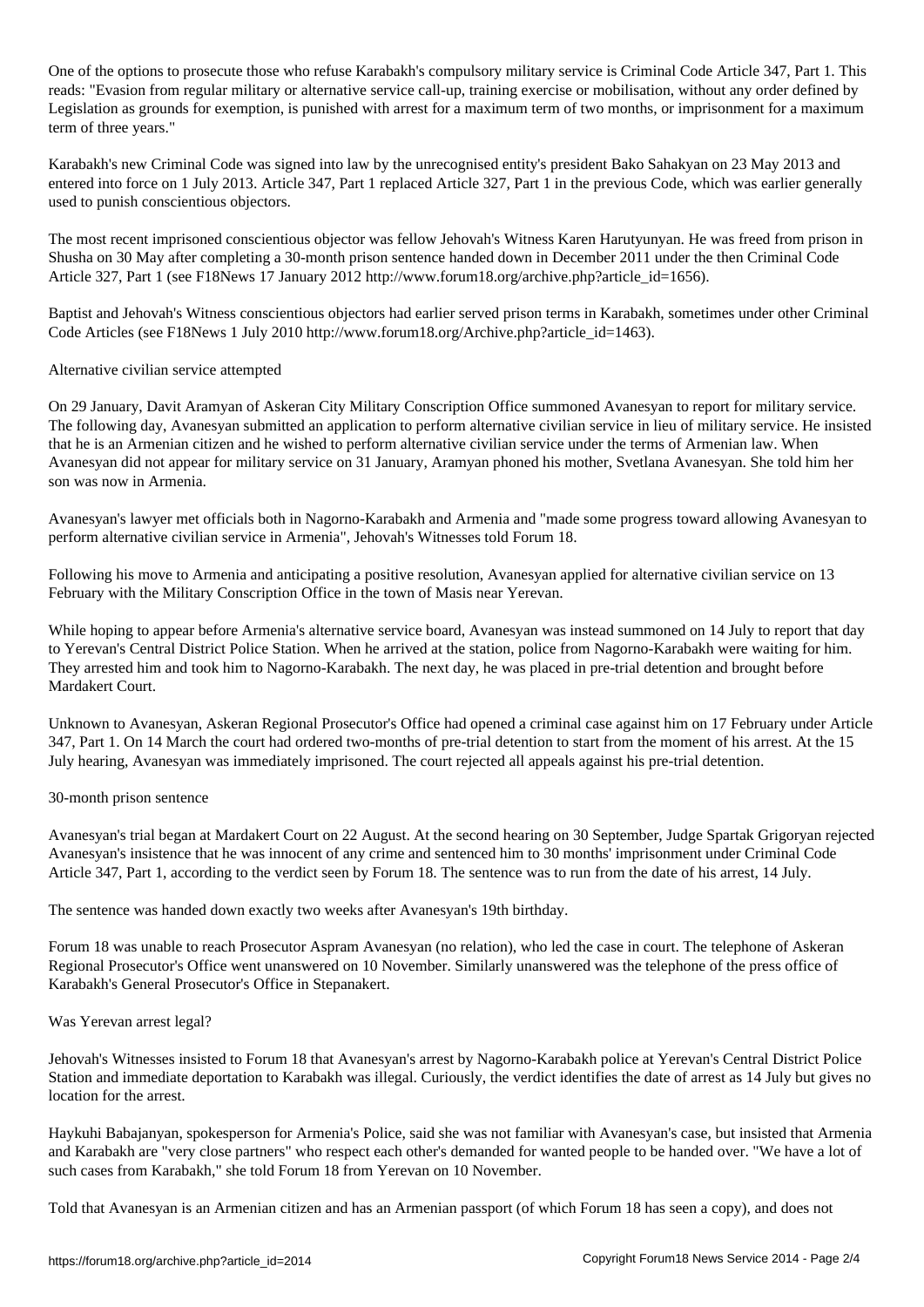One of the options to prosecute those who refuse Karabakh's compulsory military service is Criminal Code Article 347, Part 1. This reads: "Evasion from regular military or alternative service call-up, training exercise or mobilisation, without any order defined by Legislation as grounds for exemption, is punished with arrest for a maximum term of two months, or imprisonment for a maximum term of three years."

Karabakh's new Criminal Code was signed into law by the unrecognised entity's president Bako Sahakyan on 23 May 2013 and entered into force on 1 July 2013. Article 347, Part 1 replaced Article 327, Part 1 in the previous Code, which was earlier generally used to punish conscientious objectors.

The most recent imprisoned conscientious objector was fellow Jehovah's Witness Karen Harutyunyan. He was freed from prison in Shusha on 30 May after completing a 30-month prison sentence handed down in December 2011 under the then Criminal Code Article 327, Part 1 (see F18News 17 January 2012 http://www.forum18.org/archive.php?article\_id=1656).

Baptist and Jehovah's Witness conscientious objectors had earlier served prison terms in Karabakh, sometimes under other Criminal Code Articles (see F18News 1 July 2010 http://www.forum18.org/Archive.php?article\_id=1463).

Alternative civilian service attempted

On 29 January, Davit Aramyan of Askeran City Military Conscription Office summoned Avanesyan to report for military service. The following day, Avanesyan submitted an application to perform alternative civilian service in lieu of military service. He insisted that he is an Armenian citizen and he wished to perform alternative civilian service under the terms of Armenian law. When Avanesyan did not appear for military service on 31 January, Aramyan phoned his mother, Svetlana Avanesyan. She told him her son was now in Armenia.

Avanesyan's lawyer met officials both in Nagorno-Karabakh and Armenia and "made some progress toward allowing Avanesyan to perform alternative civilian service in Armenia", Jehovah's Witnesses told Forum 18.

Following his move to Armenia and anticipating a positive resolution, Avanesyan applied for alternative civilian service on 13 February with the Military Conscription Office in the town of Masis near Yerevan.

While hoping to appear before Armenia's alternative service board, Avanesyan was instead summoned on 14 July to report that day to Yerevan's Central District Police Station. When he arrived at the station, police from Nagorno-Karabakh were waiting for him. They arrested him and took him to Nagorno-Karabakh. The next day, he was placed in pre-trial detention and brought before Mardakert Court.

Unknown to Avanesyan, Askeran Regional Prosecutor's Office had opened a criminal case against him on 17 February under Article 347, Part 1. On 14 March the court had ordered two-months of pre-trial detention to start from the moment of his arrest. At the 15 July hearing, Avanesyan was immediately imprisoned. The court rejected all appeals against his pre-trial detention.

30-month prison sentence

Avanesyan's trial began at Mardakert Court on 22 August. At the second hearing on 30 September, Judge Spartak Grigoryan rejected Avanesyan's insistence that he was innocent of any crime and sentenced him to 30 months' imprisonment under Criminal Code Article 347, Part 1, according to the verdict seen by Forum 18. The sentence was to run from the date of his arrest, 14 July.

The sentence was handed down exactly two weeks after Avanesyan's 19th birthday.

Forum 18 was unable to reach Prosecutor Aspram Avanesyan (no relation), who led the case in court. The telephone of Askeran Regional Prosecutor's Office went unanswered on 10 November. Similarly unanswered was the telephone of the press office of Karabakh's General Prosecutor's Office in Stepanakert.

Was Yerevan arrest legal?

Jehovah's Witnesses insisted to Forum 18 that Avanesyan's arrest by Nagorno-Karabakh police at Yerevan's Central District Police Station and immediate deportation to Karabakh was illegal. Curiously, the verdict identifies the date of arrest as 14 July but gives no location for the arrest.

Haykuhi Babajanyan, spokesperson for Armenia's Police, said she was not familiar with Avanesyan's case, but insisted that Armenia and Karabakh are "very close partners" who respect each other's demanded for wanted people to be handed over. "We have a lot of such cases from Karabakh," she told Forum 18 from Yerevan on 10 November.

Told that Avanesyan is an Armenian citizen and has an Armenian passport (of which Forum 18 has seen a copy), and does not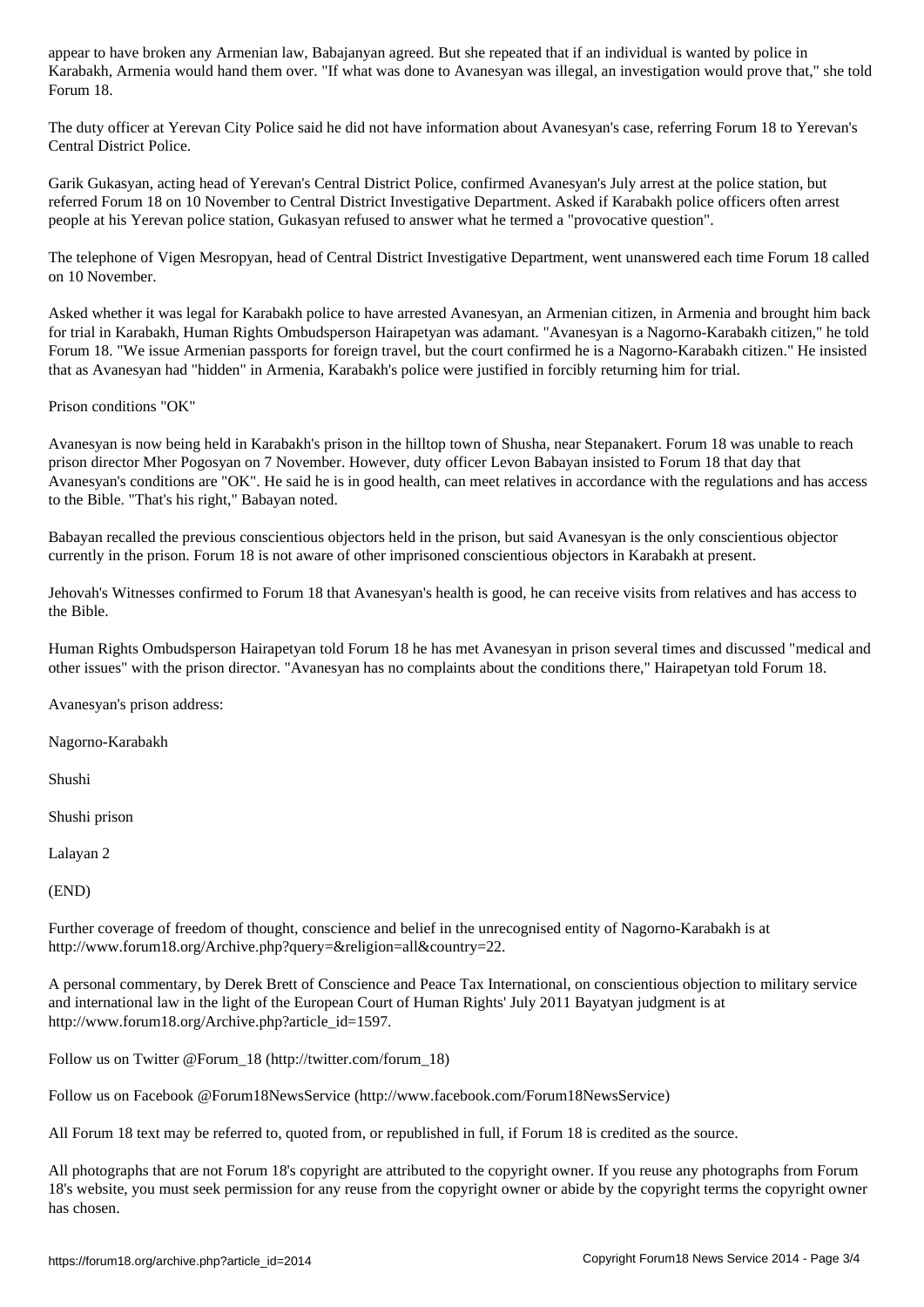Karabakh, Armenia would hand them over. "If what was done to Avanesyan was illegal, an investigation would prove that," she told Forum 18.

The duty officer at Yerevan City Police said he did not have information about Avanesyan's case, referring Forum 18 to Yerevan's Central District Police.

Garik Gukasyan, acting head of Yerevan's Central District Police, confirmed Avanesyan's July arrest at the police station, but referred Forum 18 on 10 November to Central District Investigative Department. Asked if Karabakh police officers often arrest people at his Yerevan police station, Gukasyan refused to answer what he termed a "provocative question".

The telephone of Vigen Mesropyan, head of Central District Investigative Department, went unanswered each time Forum 18 called on 10 November.

Asked whether it was legal for Karabakh police to have arrested Avanesyan, an Armenian citizen, in Armenia and brought him back for trial in Karabakh, Human Rights Ombudsperson Hairapetyan was adamant. "Avanesyan is a Nagorno-Karabakh citizen," he told Forum 18. "We issue Armenian passports for foreign travel, but the court confirmed he is a Nagorno-Karabakh citizen." He insisted that as Avanesyan had "hidden" in Armenia, Karabakh's police were justified in forcibly returning him for trial.

Prison conditions "OK"

Avanesyan is now being held in Karabakh's prison in the hilltop town of Shusha, near Stepanakert. Forum 18 was unable to reach prison director Mher Pogosyan on 7 November. However, duty officer Levon Babayan insisted to Forum 18 that day that Avanesyan's conditions are "OK". He said he is in good health, can meet relatives in accordance with the regulations and has access to the Bible. "That's his right," Babayan noted.

Babayan recalled the previous conscientious objectors held in the prison, but said Avanesyan is the only conscientious objector currently in the prison. Forum 18 is not aware of other imprisoned conscientious objectors in Karabakh at present.

Jehovah's Witnesses confirmed to Forum 18 that Avanesyan's health is good, he can receive visits from relatives and has access to the Bible.

Human Rights Ombudsperson Hairapetyan told Forum 18 he has met Avanesyan in prison several times and discussed "medical and other issues" with the prison director. "Avanesyan has no complaints about the conditions there," Hairapetyan told Forum 18.

Avanesyan's prison address:

Nagorno-Karabakh

Shushi

Shushi prison

Lalayan 2

(END)

Further coverage of freedom of thought, conscience and belief in the unrecognised entity of Nagorno-Karabakh is at http://www.forum18.org/Archive.php?query=&religion=all&country=22.

A personal commentary, by Derek Brett of Conscience and Peace Tax International, on conscientious objection to military service and international law in the light of the European Court of Human Rights' July 2011 Bayatyan judgment is at http://www.forum18.org/Archive.php?article\_id=1597.

Follow us on Twitter @Forum\_18 (http://twitter.com/forum\_18)

Follow us on Facebook @Forum18NewsService (http://www.facebook.com/Forum18NewsService)

All Forum 18 text may be referred to, quoted from, or republished in full, if Forum 18 is credited as the source.

All photographs that are not Forum 18's copyright are attributed to the copyright owner. If you reuse any photographs from Forum 18's website, you must seek permission for any reuse from the copyright owner or abide by the copyright terms the copyright owner has chosen.